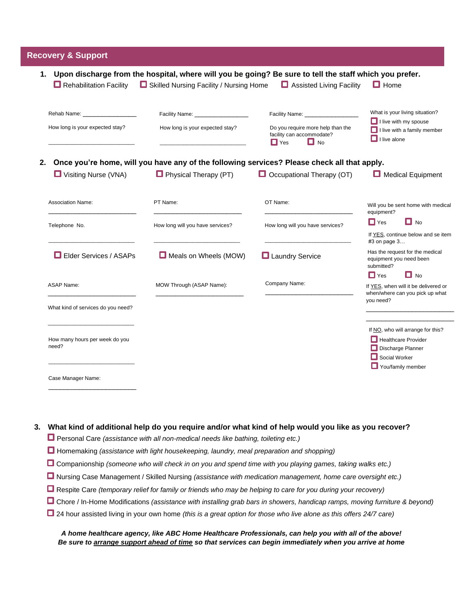## **Recovery & Support**

\_\_\_\_\_\_\_\_\_\_\_\_\_\_\_\_\_\_\_\_\_\_\_

| 1.<br>$\Box$ Rehabilitation Facility                    | Skilled Nursing Facility / Nursing Home | Upon discharge from the hospital, where will you be going? Be sure to tell the staff which you prefer.<br>Assisted Living Facility | $\Box$ Home                                                                                                  |  |
|---------------------------------------------------------|-----------------------------------------|------------------------------------------------------------------------------------------------------------------------------------|--------------------------------------------------------------------------------------------------------------|--|
|                                                         | Facility Name: __________________       | Facility Name: _____________                                                                                                       | What is your living situation?                                                                               |  |
| How long is your expected stay?                         | How long is your expected stay?         | Do you require more help than the<br>facility can accommodate?<br>$\Box$ Yes<br>$\Box$ No                                          | $\Box$ I live with my spouse<br>$\Box$ I live with a family member<br>$\Box$ I live alone                    |  |
| 2.                                                      |                                         | Once you're home, will you have any of the following services? Please check all that apply.                                        |                                                                                                              |  |
| <b>U</b> Visiting Nurse (VNA)                           | $\Box$ Physical Therapy (PT)            | $\Box$ Occupational Therapy (OT)                                                                                                   | Medical Equipment                                                                                            |  |
| <b>Association Name:</b>                                | PT Name:                                | OT Name:                                                                                                                           | Will you be sent home with medical<br>equipment?                                                             |  |
| Telephone No.                                           | How long will you have services?        | How long will you have services?                                                                                                   | $\Box$ No<br>$\Box$ Yes                                                                                      |  |
|                                                         |                                         |                                                                                                                                    | If YES, continue below and se item<br>#3 on page 3                                                           |  |
| <b>L</b> Elder Services / ASAPs                         | Meals on Wheels (MOW)                   | <b>Laundry Service</b>                                                                                                             | Has the request for the medical<br>equipment you need been<br>submitted?                                     |  |
|                                                         |                                         | Company Name:                                                                                                                      | $\Box$ No<br>$\Box$ Yes                                                                                      |  |
| <b>ASAP Name:</b><br>What kind of services do you need? | MOW Through (ASAP Name):                |                                                                                                                                    | If YES, when will it be delivered or<br>when/where can you pick up what<br>you need?                         |  |
|                                                         |                                         |                                                                                                                                    |                                                                                                              |  |
| How many hours per week do you<br>need?                 |                                         |                                                                                                                                    | If NO, who will arrange for this?<br>$\Box$ Healthcare Provider<br>Discharge Planner<br>$\Box$ Social Worker |  |
| Case Manager Name:                                      |                                         |                                                                                                                                    | You/family member                                                                                            |  |

## **3. What kind of additional help do you require and/or what kind of help would you like as you recover?**

Personal Care *(assistance with all non-medical needs like bathing, toileting etc.)*

- Homemaking *(assistance with light housekeeping, laundry, meal preparation and shopping)*
- Companionship *(someone who will check in on you and spend time with you playing games, taking walks etc.)*
- Nursing Case Management / Skilled Nursing *(assistance with medication management, home care oversight etc.)*
- Respite Care *(temporary relief for family or friends who may be helping to care for you during your recovery)*
- Chore / In-Home Modifications *(assistance with installing grab bars in showers, handicap ramps, moving furniture & beyond)*
- 24 hour assisted living in your own home *(this is a great option for those who live alone as this offers 24/7 care)*

## *A home healthcare agency, like ABC Home Healthcare Professionals, can help you with all of the above! Be sure to arrange support ahead of time so that services can begin immediately when you arrive at home*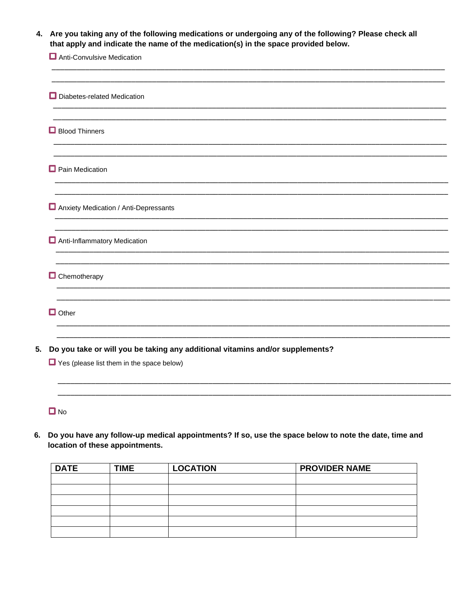| Are you taking any of the following medications or undergoing any of the following? Please check all<br>4.<br>that apply and indicate the name of the medication(s) in the space provided below. |                                                                                                                                           |  |  |  |
|--------------------------------------------------------------------------------------------------------------------------------------------------------------------------------------------------|-------------------------------------------------------------------------------------------------------------------------------------------|--|--|--|
|                                                                                                                                                                                                  | Anti-Convulsive Medication                                                                                                                |  |  |  |
|                                                                                                                                                                                                  | Diabetes-related Medication                                                                                                               |  |  |  |
|                                                                                                                                                                                                  | Blood Thinners                                                                                                                            |  |  |  |
|                                                                                                                                                                                                  | Pain Medication                                                                                                                           |  |  |  |
|                                                                                                                                                                                                  | Anxiety Medication / Anti-Depressants                                                                                                     |  |  |  |
|                                                                                                                                                                                                  | Anti-Inflammatory Medication                                                                                                              |  |  |  |
|                                                                                                                                                                                                  | $\Box$ Chemotherapy                                                                                                                       |  |  |  |
|                                                                                                                                                                                                  | $\Box$ Other                                                                                                                              |  |  |  |
|                                                                                                                                                                                                  | Do you take or will you be taking any additional vitamins and/or supplements?<br>$\blacksquare$ Yes (please list them in the space below) |  |  |  |
|                                                                                                                                                                                                  | $\Box$ No                                                                                                                                 |  |  |  |

6. Do you have any follow-up medical appointments? If so, use the space below to note the date, time and location of these appointments.

| <b>DATE</b> | <b>TIME</b> | <b>LOCATION</b> | <b>PROVIDER NAME</b> |
|-------------|-------------|-----------------|----------------------|
|             |             |                 |                      |
|             |             |                 |                      |
|             |             |                 |                      |
|             |             |                 |                      |
|             |             |                 |                      |
|             |             |                 |                      |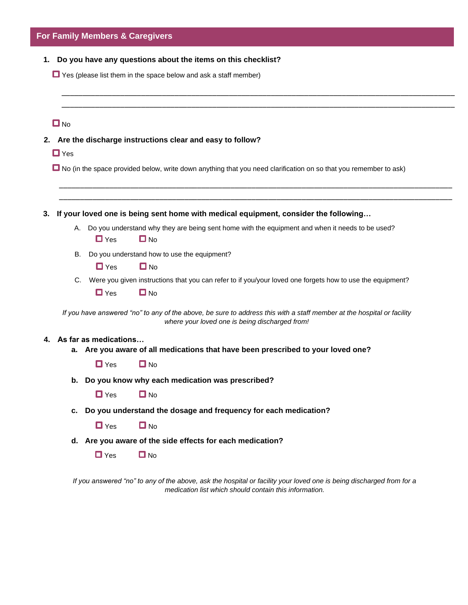|    |            |                       | For Family Members & Caregivers                                                                                                                                                |
|----|------------|-----------------------|--------------------------------------------------------------------------------------------------------------------------------------------------------------------------------|
|    |            |                       | 1. Do you have any questions about the items on this checklist?<br>$\Box$ Yes (please list them in the space below and ask a staff member)                                     |
|    |            |                       |                                                                                                                                                                                |
|    | $\Box$ No  |                       |                                                                                                                                                                                |
| 2. |            |                       | Are the discharge instructions clear and easy to follow?                                                                                                                       |
|    | $\Box$ Yes |                       |                                                                                                                                                                                |
|    |            |                       | No (in the space provided below, write down anything that you need clarification on so that you remember to ask)                                                               |
|    |            |                       |                                                                                                                                                                                |
| 3. |            |                       | If your loved one is being sent home with medical equipment, consider the following                                                                                            |
|    |            | $\Box$ Yes            | A. Do you understand why they are being sent home with the equipment and when it needs to be used?<br>$\Box$ No                                                                |
|    |            |                       | B. Do you understand how to use the equipment?                                                                                                                                 |
|    |            | $\Box$ Yes            | $\Box$ No                                                                                                                                                                      |
|    |            |                       | C. Were you given instructions that you can refer to if you/your loved one forgets how to use the equipment?                                                                   |
|    |            | $\Box$ Yes            | $\Box$ No                                                                                                                                                                      |
|    |            |                       | If you have answered "no" to any of the above, be sure to address this with a staff member at the hospital or facility<br>where your loved one is being discharged from!       |
|    |            | As far as medications | a. Are you aware of all medications that have been prescribed to your loved one?                                                                                               |
|    |            | $\Box$ Yes            | $\Box$ No                                                                                                                                                                      |
|    |            |                       | b. Do you know why each medication was prescribed?                                                                                                                             |
|    |            | $\Box$ Yes            | $\Box$ No                                                                                                                                                                      |
|    |            |                       | c. Do you understand the dosage and frequency for each medication?                                                                                                             |
|    |            | $\Box$ Yes            | $\Box$ No                                                                                                                                                                      |
|    |            |                       | d. Are you aware of the side effects for each medication?                                                                                                                      |
|    |            | $\Box$ Yes            | $\Box$ No                                                                                                                                                                      |
|    |            |                       | If you answered "no" to any of the above, ask the hospital or facility your loved one is being discharged from for a<br>medication list which should contain this information. |